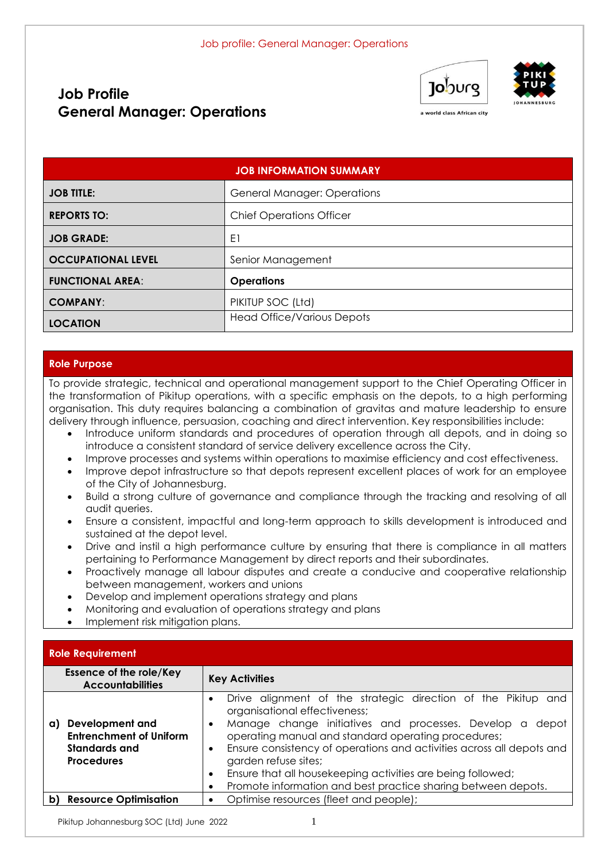# **Job Profile General Manager: Operations**





a world class African city

|                           | <b>JOB INFORMATION SUMMARY</b>     |
|---------------------------|------------------------------------|
| <b>JOB TITLE:</b>         | <b>General Manager: Operations</b> |
| <b>REPORTS TO:</b>        | <b>Chief Operations Officer</b>    |
| <b>JOB GRADE:</b>         | E1                                 |
| <b>OCCUPATIONAL LEVEL</b> | Senior Management                  |
| <b>FUNCTIONAL AREA:</b>   | <b>Operations</b>                  |
| <b>COMPANY:</b>           | PIKITUP SOC (Ltd)                  |
| <b>LOCATION</b>           | <b>Head Office/Various Depots</b>  |

#### **Role Purpose**

To provide strategic, technical and operational management support to the Chief Operating Officer in the transformation of Pikitup operations, with a specific emphasis on the depots, to a high performing organisation. This duty requires balancing a combination of gravitas and mature leadership to ensure delivery through influence, persuasion, coaching and direct intervention. Key responsibilities include:

- Introduce uniform standards and procedures of operation through all depots, and in doing so introduce a consistent standard of service delivery excellence across the City.
- Improve processes and systems within operations to maximise efficiency and cost effectiveness.
- Improve depot infrastructure so that depots represent excellent places of work for an employee of the City of Johannesburg.
- Build a strong culture of governance and compliance through the tracking and resolving of all audit queries.
- Ensure a consistent, impactful and long-term approach to skills development is introduced and sustained at the depot level.
- Drive and instil a high performance culture by ensuring that there is compliance in all matters pertaining to Performance Management by direct reports and their subordinates.
- Proactively manage all labour disputes and create a conducive and cooperative relationship between management, workers and unions
- Develop and implement operations strategy and plans
- Monitoring and evaluation of operations strategy and plans
- Implement risk mitigation plans.

### **Role Requirement**

|    | <b>Essence of the role/Key</b><br><b>Accountabilities</b>                                      | <b>Key Activities</b>                                                                                                                                                                                                                                                                                                                                                                                                                                                                                                  |  |
|----|------------------------------------------------------------------------------------------------|------------------------------------------------------------------------------------------------------------------------------------------------------------------------------------------------------------------------------------------------------------------------------------------------------------------------------------------------------------------------------------------------------------------------------------------------------------------------------------------------------------------------|--|
| a) | <b>Development and</b><br><b>Entrenchment of Uniform</b><br>Standards and<br><b>Procedures</b> | Drive alignment of the strategic direction of the Pikitup and<br>$\bullet$<br>organisational effectiveness;<br>Manage change initiatives and processes. Develop a<br>depot<br>$\bullet$<br>operating manual and standard operating procedures;<br>Ensure consistency of operations and activities across all depots and<br>$\bullet$<br>garden refuse sites;<br>Ensure that all housekeeping activities are being followed;<br>$\bullet$<br>Promote information and best practice sharing between depots.<br>$\bullet$ |  |
| b) | <b>Resource Optimisation</b>                                                                   | Optimise resources (fleet and people);<br>$\bullet$                                                                                                                                                                                                                                                                                                                                                                                                                                                                    |  |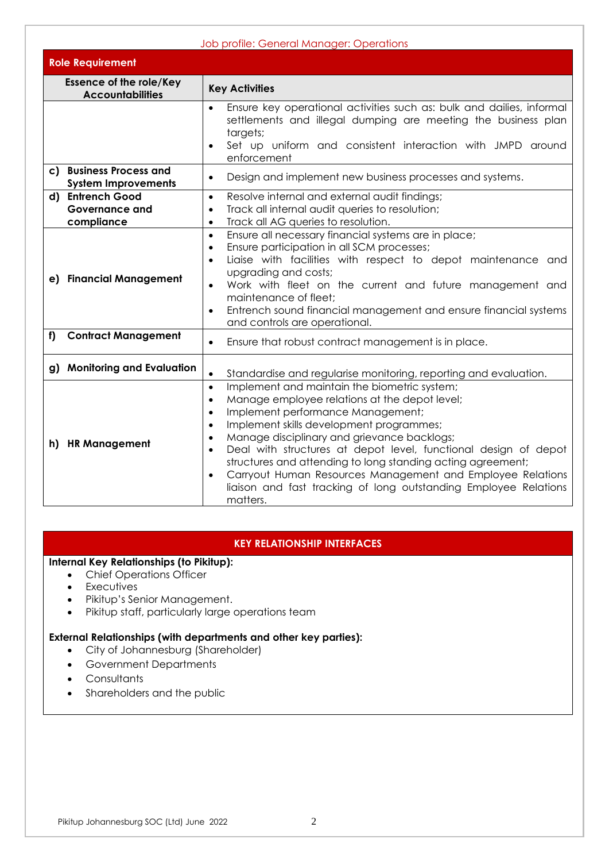| Job profile: General Manager: Operations                    |                                                                                                                                                                                                                                                                                                                                                                                                                                                                                                                                                                                                                                                                                           |  |
|-------------------------------------------------------------|-------------------------------------------------------------------------------------------------------------------------------------------------------------------------------------------------------------------------------------------------------------------------------------------------------------------------------------------------------------------------------------------------------------------------------------------------------------------------------------------------------------------------------------------------------------------------------------------------------------------------------------------------------------------------------------------|--|
| <b>Role Requirement</b>                                     |                                                                                                                                                                                                                                                                                                                                                                                                                                                                                                                                                                                                                                                                                           |  |
| <b>Essence of the role/Key</b><br><b>Accountabilities</b>   | <b>Key Activities</b>                                                                                                                                                                                                                                                                                                                                                                                                                                                                                                                                                                                                                                                                     |  |
|                                                             | Ensure key operational activities such as: bulk and dailies, informal<br>settlements and illegal dumping are meeting the business plan<br>targets;<br>Set up uniform and consistent interaction with JMPD around<br>enforcement                                                                                                                                                                                                                                                                                                                                                                                                                                                           |  |
| c) Business Process and<br><b>System Improvements</b>       | Design and implement new business processes and systems.<br>$\bullet$                                                                                                                                                                                                                                                                                                                                                                                                                                                                                                                                                                                                                     |  |
| d) Entrench Good<br><b>Governance and</b><br>compliance     | Resolve internal and external audit findings;<br>$\bullet$<br>Track all internal audit queries to resolution;<br>$\bullet$<br>Track all AG queries to resolution.<br>$\bullet$                                                                                                                                                                                                                                                                                                                                                                                                                                                                                                            |  |
| e) Financial Management<br><b>Contract Management</b><br>f) | Ensure all necessary financial systems are in place;<br>$\bullet$<br>Ensure participation in all SCM processes;<br>$\bullet$<br>Liaise with facilities with respect to depot maintenance and<br>$\bullet$<br>upgrading and costs;<br>Work with fleet on the current and future management and<br>maintenance of fleet;<br>Entrench sound financial management and ensure financial systems<br>and controls are operational.<br>Ensure that robust contract management is in place.<br>$\bullet$                                                                                                                                                                                           |  |
| g) Monitoring and Evaluation                                |                                                                                                                                                                                                                                                                                                                                                                                                                                                                                                                                                                                                                                                                                           |  |
| h) HR Management                                            | Standardise and regularise monitoring, reporting and evaluation.<br>$\bullet$<br>Implement and maintain the biometric system;<br>$\bullet$<br>Manage employee relations at the depot level;<br>$\bullet$<br>Implement performance Management;<br>$\bullet$<br>Implement skills development programmes;<br>$\bullet$<br>Manage disciplinary and grievance backlogs;<br>$\bullet$<br>Deal with structures at depot level, functional design of depot<br>$\bullet$<br>structures and attending to long standing acting agreement;<br>Carryout Human Resources Management and Employee Relations<br>$\bullet$<br>liaison and fast tracking of long outstanding Employee Relations<br>matters. |  |

## **KEY RELATIONSHIP INTERFACES**

## **Internal Key Relationships (to Pikitup):**

- Chief Operations Officer
- Executives
- Pikitup's Senior Management.
- Pikitup staff, particularly large operations team

### **External Relationships (with departments and other key parties):**

- City of Johannesburg (Shareholder)
- Government Departments
- Consultants
- Shareholders and the public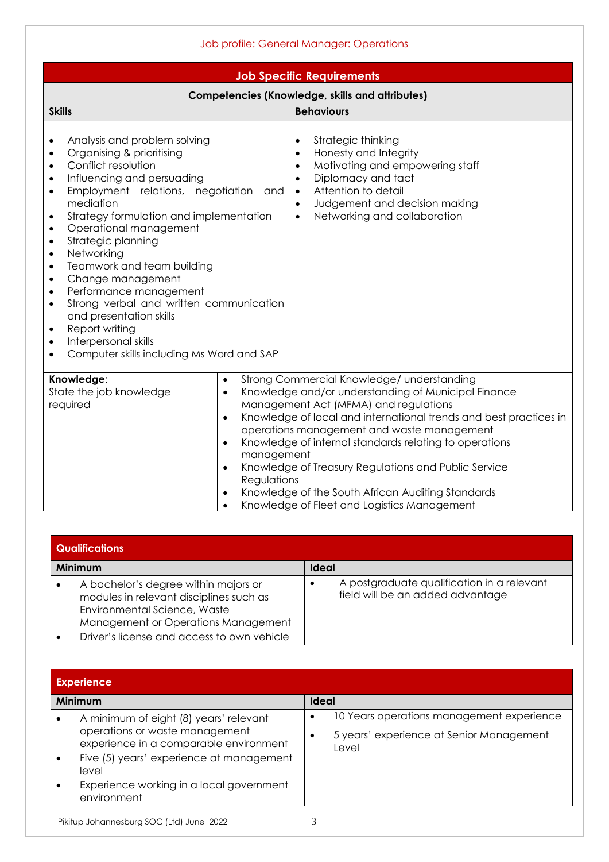| Job profile: General Manager: Operations                                                                                                                                                                                                                                                                                                                                                                                                                                                                                                                                                                                                                                                           |                                                                                                                                                                                                                                                                                                                                                                                                                                                                                     |  |  |  |  |  |
|----------------------------------------------------------------------------------------------------------------------------------------------------------------------------------------------------------------------------------------------------------------------------------------------------------------------------------------------------------------------------------------------------------------------------------------------------------------------------------------------------------------------------------------------------------------------------------------------------------------------------------------------------------------------------------------------------|-------------------------------------------------------------------------------------------------------------------------------------------------------------------------------------------------------------------------------------------------------------------------------------------------------------------------------------------------------------------------------------------------------------------------------------------------------------------------------------|--|--|--|--|--|
| <b>Job Specific Requirements</b>                                                                                                                                                                                                                                                                                                                                                                                                                                                                                                                                                                                                                                                                   |                                                                                                                                                                                                                                                                                                                                                                                                                                                                                     |  |  |  |  |  |
|                                                                                                                                                                                                                                                                                                                                                                                                                                                                                                                                                                                                                                                                                                    | <b>Competencies (Knowledge, skills and attributes)</b>                                                                                                                                                                                                                                                                                                                                                                                                                              |  |  |  |  |  |
| <b>Skills</b>                                                                                                                                                                                                                                                                                                                                                                                                                                                                                                                                                                                                                                                                                      | <b>Behaviours</b>                                                                                                                                                                                                                                                                                                                                                                                                                                                                   |  |  |  |  |  |
| Analysis and problem solving<br>٠<br>Organising & prioritising<br>٠<br>Conflict resolution<br>٠<br>Influencing and persuading<br>$\bullet$<br>Employment relations, negotiation<br>and<br>$\bullet$<br>mediation<br>Strategy formulation and implementation<br>٠<br>Operational management<br>$\bullet$<br>Strategic planning<br>$\bullet$<br>Networking<br>$\bullet$<br>Teamwork and team building<br>$\bullet$<br>Change management<br>$\bullet$<br>Performance management<br>$\bullet$<br>Strong verbal and written communication<br>$\bullet$<br>and presentation skills<br>Report writing<br>٠<br>Interpersonal skills<br>$\bullet$<br>Computer skills including Ms Word and SAP<br>$\bullet$ | Strategic thinking<br>Honesty and Integrity<br>$\bullet$<br>Motivating and empowering staff<br>$\bullet$<br>Diplomacy and tact<br>$\bullet$<br>Attention to detail<br>$\bullet$<br>Judgement and decision making<br>$\bullet$<br>Networking and collaboration<br>$\bullet$                                                                                                                                                                                                          |  |  |  |  |  |
| Knowledge:<br>$\bullet$<br>State the job knowledge<br>$\bullet$<br>required<br>$\bullet$<br>$\bullet$<br>management<br>$\bullet$<br>Regulations<br>$\bullet$<br>$\bullet$                                                                                                                                                                                                                                                                                                                                                                                                                                                                                                                          | Strong Commercial Knowledge/ understanding<br>Knowledge and/or understanding of Municipal Finance<br>Management Act (MFMA) and regulations<br>Knowledge of local and international trends and best practices in<br>operations management and waste management<br>Knowledge of internal standards relating to operations<br>Knowledge of Treasury Regulations and Public Service<br>Knowledge of the South African Auditing Standards<br>Knowledge of Fleet and Logistics Management |  |  |  |  |  |

| <b>Qualifications</b>                                                                                                                                                                                |                                                                                |
|------------------------------------------------------------------------------------------------------------------------------------------------------------------------------------------------------|--------------------------------------------------------------------------------|
| <b>Minimum</b>                                                                                                                                                                                       | <b>Ideal</b>                                                                   |
| A bachelor's degree within majors or<br>modules in relevant disciplines such as<br>Environmental Science, Waste<br>Management or Operations Management<br>Driver's license and access to own vehicle | A postgraduate qualification in a relevant<br>field will be an added advantage |

| <b>Experience</b>                                                        |                                                   |  |  |
|--------------------------------------------------------------------------|---------------------------------------------------|--|--|
| Minimum                                                                  | <b>Ideal</b>                                      |  |  |
| A minimum of eight (8) years' relevant                                   | 10 Years operations management experience         |  |  |
| operations or waste management<br>experience in a comparable environment | 5 years' experience at Senior Management<br>Level |  |  |
| Five (5) years' experience at management<br>level                        |                                                   |  |  |
| Experience working in a local government<br>environment                  |                                                   |  |  |
| $\mathbf{a}\mathbf{a}\mathbf{a}$<br>----                                 | $\sim$                                            |  |  |